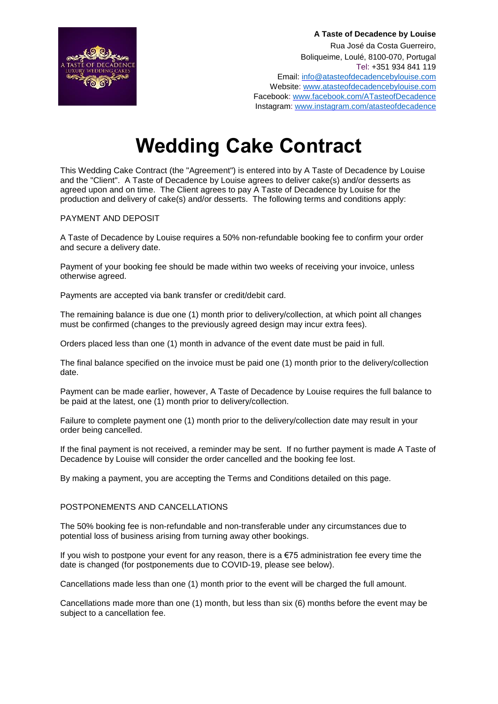

**A Taste of Decadence by Louise**  Rua José da Costa Guerreiro, Boliqueime, Loulé, 8100-070, Portugal Tel: +351 934 841 119 Email[: info@atasteofdecadencebylouise.com](mailto:info@atasteofdecadencebylouise.com) Website: [www.atasteofdecadencebylouise.com](http://www.atasteofdecadencebylouise.com/) Facebook[:](http://www.facebook.com/ATasteofDecadence) [www.facebook.com/ATasteofDecadence](http://www.facebook.com/ATasteofDecadence) Instagram: [www.instagram.com/atasteofdecadence](http://www.instagram.com/atasteofdecadence)

# **Wedding Cake Contract**

This Wedding Cake Contract (the "Agreement") is entered into by A Taste of Decadence by Louise and the "Client". A Taste of Decadence by Louise agrees to deliver cake(s) and/or desserts as agreed upon and on time. The Client agrees to pay A Taste of Decadence by Louise for the production and delivery of cake(s) and/or desserts. The following terms and conditions apply:

## PAYMENT AND DEPOSIT

A Taste of Decadence by Louise requires a 50% non-refundable booking fee to confirm your order and secure a delivery date.

Payment of your booking fee should be made within two weeks of receiving your invoice, unless otherwise agreed.

Payments are accepted via bank transfer or credit/debit card.

The remaining balance is due one (1) month prior to delivery/collection, at which point all changes must be confirmed (changes to the previously agreed design may incur extra fees).

Orders placed less than one (1) month in advance of the event date must be paid in full.

The final balance specified on the invoice must be paid one (1) month prior to the delivery/collection date.

Payment can be made earlier, however, A Taste of Decadence by Louise requires the full balance to be paid at the latest, one (1) month prior to delivery/collection.

Failure to complete payment one (1) month prior to the delivery/collection date may result in your order being cancelled.

If the final payment is not received, a reminder may be sent. If no further payment is made A Taste of Decadence by Louise will consider the order cancelled and the booking fee lost.

By making a payment, you are accepting the Terms and Conditions detailed on this page.

## POSTPONEMENTS AND CANCELLATIONS

The 50% booking fee is non-refundable and non-transferable under any circumstances due to potential loss of business arising from turning away other bookings.

If you wish to postpone your event for any reason, there is a  $\epsilon$ 75 administration fee every time the date is changed (for postponements due to COVID-19, please see below).

Cancellations made less than one (1) month prior to the event will be charged the full amount.

Cancellations made more than one (1) month, but less than six (6) months before the event may be subject to a cancellation fee.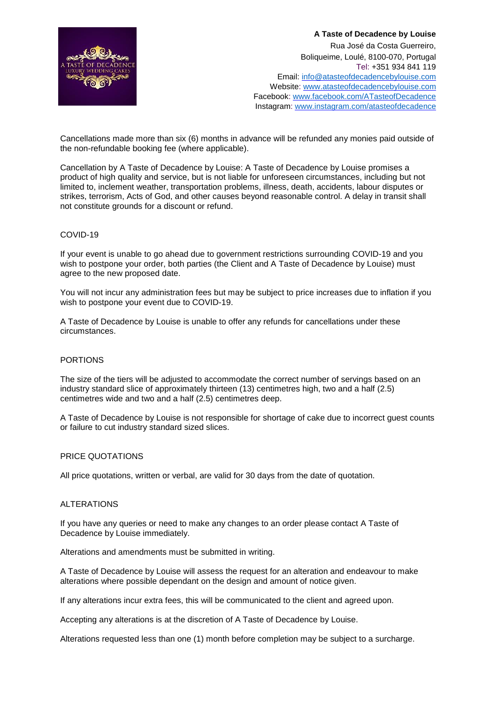

**A Taste of Decadence by Louise**  Rua José da Costa Guerreiro, Boliqueime, Loulé, 8100-070, Portugal Tel: +351 934 841 119 Email[: info@atasteofdecadencebylouise.com](mailto:info@atasteofdecadencebylouise.com) Website: [www.atasteofdecadencebylouise.com](http://www.atasteofdecadencebylouise.com/) Facebook[:](http://www.facebook.com/ATasteofDecadence) [www.facebook.com/ATasteofDecadence](http://www.facebook.com/ATasteofDecadence) Instagram: [www.instagram.com/atasteofdecadence](http://www.instagram.com/atasteofdecadence)

Cancellations made more than six (6) months in advance will be refunded any monies paid outside of the non-refundable booking fee (where applicable).

Cancellation by A Taste of Decadence by Louise: A Taste of Decadence by Louise promises a product of high quality and service, but is not liable for unforeseen circumstances, including but not limited to, inclement weather, transportation problems, illness, death, accidents, labour disputes or strikes, terrorism, Acts of God, and other causes beyond reasonable control. A delay in transit shall not constitute grounds for a discount or refund.

#### COVID-19

If your event is unable to go ahead due to government restrictions surrounding COVID-19 and you wish to postpone your order, both parties (the Client and A Taste of Decadence by Louise) must agree to the new proposed date.

You will not incur any administration fees but may be subject to price increases due to inflation if you wish to postpone your event due to COVID-19.

A Taste of Decadence by Louise is unable to offer any refunds for cancellations under these circumstances.

#### PORTIONS

The size of the tiers will be adjusted to accommodate the correct number of servings based on an industry standard slice of approximately thirteen (13) centimetres high, two and a half (2.5) centimetres wide and two and a half (2.5) centimetres deep.

A Taste of Decadence by Louise is not responsible for shortage of cake due to incorrect guest counts or failure to cut industry standard sized slices.

## PRICE QUOTATIONS

All price quotations, written or verbal, are valid for 30 days from the date of quotation.

#### ALTERATIONS

If you have any queries or need to make any changes to an order please contact A Taste of Decadence by Louise immediately.

Alterations and amendments must be submitted in writing.

A Taste of Decadence by Louise will assess the request for an alteration and endeavour to make alterations where possible dependant on the design and amount of notice given.

If any alterations incur extra fees, this will be communicated to the client and agreed upon.

Accepting any alterations is at the discretion of A Taste of Decadence by Louise.

Alterations requested less than one (1) month before completion may be subject to a surcharge.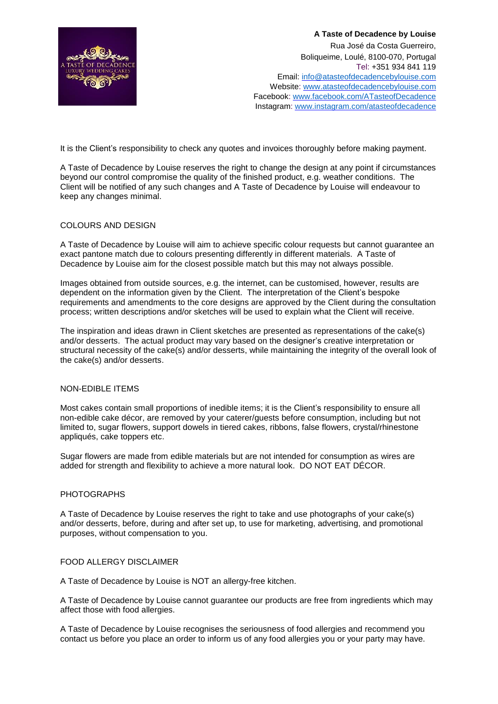

**A Taste of Decadence by Louise**  Rua José da Costa Guerreiro, Boliqueime, Loulé, 8100-070, Portugal Tel: +351 934 841 119 Email[: info@atasteofdecadencebylouise.com](mailto:info@atasteofdecadencebylouise.com) Website: [www.atasteofdecadencebylouise.com](http://www.atasteofdecadencebylouise.com/) Facebook[:](http://www.facebook.com/ATasteofDecadence) [www.facebook.com/ATasteofDecadence](http://www.facebook.com/ATasteofDecadence) Instagram: [www.instagram.com/atasteofdecadence](http://www.instagram.com/atasteofdecadence)

It is the Client's responsibility to check any quotes and invoices thoroughly before making payment.

A Taste of Decadence by Louise reserves the right to change the design at any point if circumstances beyond our control compromise the quality of the finished product, e.g. weather conditions. The Client will be notified of any such changes and A Taste of Decadence by Louise will endeavour to keep any changes minimal.

# COLOURS AND DESIGN

A Taste of Decadence by Louise will aim to achieve specific colour requests but cannot guarantee an exact pantone match due to colours presenting differently in different materials. A Taste of Decadence by Louise aim for the closest possible match but this may not always possible.

Images obtained from outside sources, e.g. the internet, can be customised, however, results are dependent on the information given by the Client. The interpretation of the Client's bespoke requirements and amendments to the core designs are approved by the Client during the consultation process; written descriptions and/or sketches will be used to explain what the Client will receive.

The inspiration and ideas drawn in Client sketches are presented as representations of the cake(s) and/or desserts. The actual product may vary based on the designer's creative interpretation or structural necessity of the cake(s) and/or desserts, while maintaining the integrity of the overall look of the cake(s) and/or desserts.

# NON-EDIBLE ITEMS

Most cakes contain small proportions of inedible items; it is the Client's responsibility to ensure all non-edible cake décor, are removed by your caterer/guests before consumption, including but not limited to, sugar flowers, support dowels in tiered cakes, ribbons, false flowers, crystal/rhinestone appliqués, cake toppers etc.

Sugar flowers are made from edible materials but are not intended for consumption as wires are added for strength and flexibility to achieve a more natural look. DO NOT EAT DÉCOR.

#### PHOTOGRAPHS

A Taste of Decadence by Louise reserves the right to take and use photographs of your cake(s) and/or desserts, before, during and after set up, to use for marketing, advertising, and promotional purposes, without compensation to you.

#### FOOD ALLERGY DISCLAIMER

A Taste of Decadence by Louise is NOT an allergy-free kitchen.

A Taste of Decadence by Louise cannot guarantee our products are free from ingredients which may affect those with food allergies.

A Taste of Decadence by Louise recognises the seriousness of food allergies and recommend you contact us before you place an order to inform us of any food allergies you or your party may have.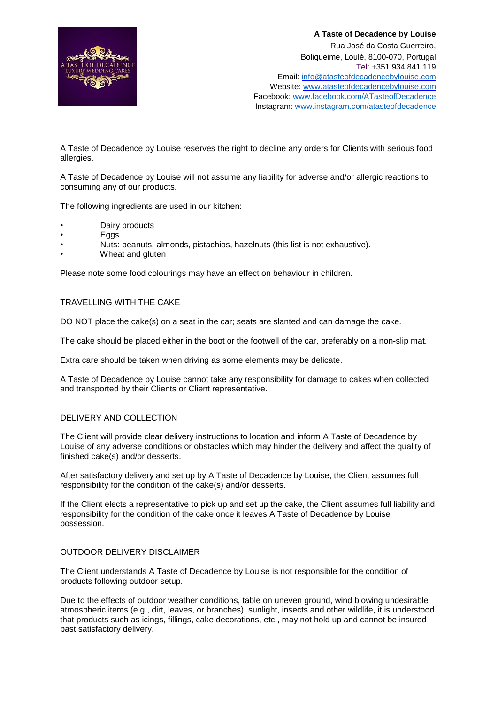

A Taste of Decadence by Louise reserves the right to decline any orders for Clients with serious food allergies.

A Taste of Decadence by Louise will not assume any liability for adverse and/or allergic reactions to consuming any of our products.

The following ingredients are used in our kitchen:

- Dairy products
- **Eggs**
- Nuts: peanuts, almonds, pistachios, hazelnuts (this list is not exhaustive).
- Wheat and gluten

Please note some food colourings may have an effect on behaviour in children.

## TRAVELLING WITH THE CAKE

DO NOT place the cake(s) on a seat in the car; seats are slanted and can damage the cake.

The cake should be placed either in the boot or the footwell of the car, preferably on a non-slip mat.

Extra care should be taken when driving as some elements may be delicate.

A Taste of Decadence by Louise cannot take any responsibility for damage to cakes when collected and transported by their Clients or Client representative.

## DELIVERY AND COLLECTION

The Client will provide clear delivery instructions to location and inform A Taste of Decadence by Louise of any adverse conditions or obstacles which may hinder the delivery and affect the quality of finished cake(s) and/or desserts.

After satisfactory delivery and set up by A Taste of Decadence by Louise, the Client assumes full responsibility for the condition of the cake(s) and/or desserts.

If the Client elects a representative to pick up and set up the cake, the Client assumes full liability and responsibility for the condition of the cake once it leaves A Taste of Decadence by Louise' possession.

## OUTDOOR DELIVERY DISCLAIMER

The Client understands A Taste of Decadence by Louise is not responsible for the condition of products following outdoor setup.

Due to the effects of outdoor weather conditions, table on uneven ground, wind blowing undesirable atmospheric items (e.g., dirt, leaves, or branches), sunlight, insects and other wildlife, it is understood that products such as icings, fillings, cake decorations, etc., may not hold up and cannot be insured past satisfactory delivery.